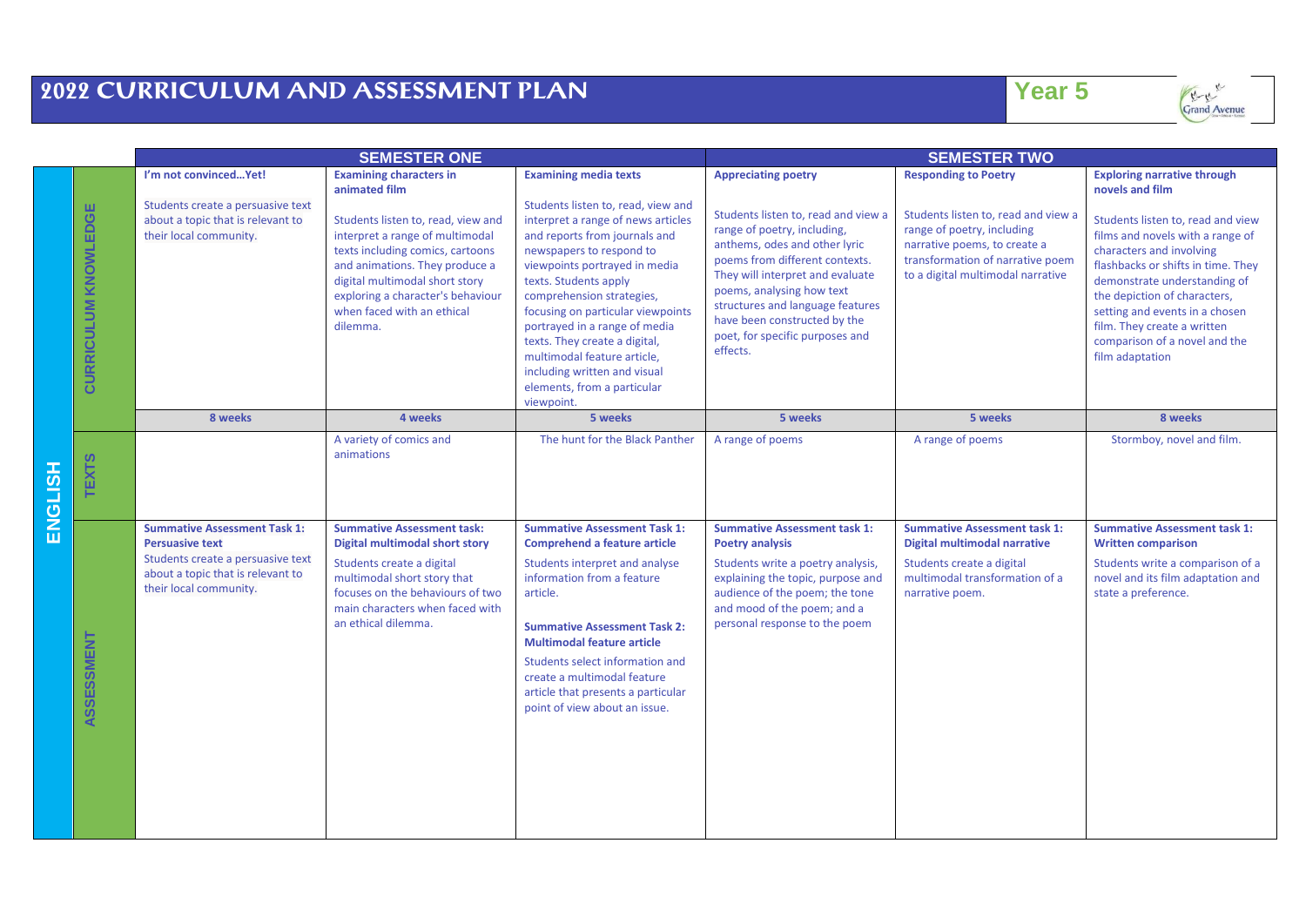## **2022 CURRICULUM AND ASSESSMENT PLAN Year 5**

| e e |    | s.<br>- - |
|-----|----|-----------|
|     |    | M.        |
|     | __ | __        |

Grand Avenue

|                |                      | <b>SEMESTER ONE</b>                                                                                                                                               |                                                                                                                                                                                                                                                                                                                 |                                                                                                                                                                                                                                                                                                                                                                                                                                                                                 | <b>SEMESTER TWO</b>                                                                                                                                                                                                                                                                                                                                     |                                                                                                                                                                                                           |                                                                                                                                                                                                                                                                                                                                                                                       |
|----------------|----------------------|-------------------------------------------------------------------------------------------------------------------------------------------------------------------|-----------------------------------------------------------------------------------------------------------------------------------------------------------------------------------------------------------------------------------------------------------------------------------------------------------------|---------------------------------------------------------------------------------------------------------------------------------------------------------------------------------------------------------------------------------------------------------------------------------------------------------------------------------------------------------------------------------------------------------------------------------------------------------------------------------|---------------------------------------------------------------------------------------------------------------------------------------------------------------------------------------------------------------------------------------------------------------------------------------------------------------------------------------------------------|-----------------------------------------------------------------------------------------------------------------------------------------------------------------------------------------------------------|---------------------------------------------------------------------------------------------------------------------------------------------------------------------------------------------------------------------------------------------------------------------------------------------------------------------------------------------------------------------------------------|
|                | CURRICULUM KNOWLEDGE | I'm not convincedYet!<br>Students create a persuasive text<br>about a topic that is relevant to<br>their local community.                                         | <b>Examining characters in</b><br>animated film<br>Students listen to, read, view and<br>interpret a range of multimodal<br>texts including comics, cartoons<br>and animations. They produce a<br>digital multimodal short story<br>exploring a character's behaviour<br>when faced with an ethical<br>dilemma. | <b>Examining media texts</b><br>Students listen to, read, view and<br>interpret a range of news articles<br>and reports from journals and<br>newspapers to respond to<br>viewpoints portrayed in media<br>texts. Students apply<br>comprehension strategies,<br>focusing on particular viewpoints<br>portrayed in a range of media<br>texts. They create a digital,<br>multimodal feature article,<br>including written and visual<br>elements, from a particular<br>viewpoint. | <b>Appreciating poetry</b><br>Students listen to, read and view a<br>range of poetry, including,<br>anthems, odes and other lyric<br>poems from different contexts.<br>They will interpret and evaluate<br>poems, analysing how text<br>structures and language features<br>have been constructed by the<br>poet, for specific purposes and<br>effects. | <b>Responding to Poetry</b><br>Students listen to, read and view a<br>range of poetry, including<br>narrative poems, to create a<br>transformation of narrative poem<br>to a digital multimodal narrative | <b>Exploring narrative through</b><br>novels and film<br>Students listen to, read and view<br>films and novels with a range of<br>characters and involving<br>flashbacks or shifts in time. They<br>demonstrate understanding of<br>the depiction of characters,<br>setting and events in a chosen<br>film. They create a written<br>comparison of a novel and the<br>film adaptation |
| <b>ENGLISH</b> |                      | 8 weeks                                                                                                                                                           | 4 weeks                                                                                                                                                                                                                                                                                                         | 5 weeks                                                                                                                                                                                                                                                                                                                                                                                                                                                                         | 5 weeks                                                                                                                                                                                                                                                                                                                                                 | 5 weeks                                                                                                                                                                                                   | 8 weeks                                                                                                                                                                                                                                                                                                                                                                               |
|                | <b>TEXTS</b>         |                                                                                                                                                                   | A variety of comics and<br>animations                                                                                                                                                                                                                                                                           | The hunt for the Black Panther                                                                                                                                                                                                                                                                                                                                                                                                                                                  | A range of poems                                                                                                                                                                                                                                                                                                                                        | A range of poems                                                                                                                                                                                          | Stormboy, novel and film.                                                                                                                                                                                                                                                                                                                                                             |
|                | ASSESSMENT           | <b>Summative Assessment Task 1:</b><br><b>Persuasive text</b><br>Students create a persuasive text<br>about a topic that is relevant to<br>their local community. | <b>Summative Assessment task:</b><br><b>Digital multimodal short story</b><br>Students create a digital<br>multimodal short story that<br>focuses on the behaviours of two<br>main characters when faced with<br>an ethical dilemma.                                                                            | <b>Summative Assessment Task 1:</b><br><b>Comprehend a feature article</b><br>Students interpret and analyse<br>information from a feature<br>article.<br><b>Summative Assessment Task 2:</b><br><b>Multimodal feature article</b><br>Students select information and<br>create a multimodal feature<br>article that presents a particular<br>point of view about an issue.                                                                                                     | <b>Summative Assessment task 1:</b><br><b>Poetry analysis</b><br>Students write a poetry analysis,<br>explaining the topic, purpose and<br>audience of the poem; the tone<br>and mood of the poem; and a<br>personal response to the poem                                                                                                               | <b>Summative Assessment task 1:</b><br>Digital multimodal narrative<br>Students create a digital<br>multimodal transformation of a<br>narrative poem.                                                     | <b>Summative Assessment task 1:</b><br><b>Written comparison</b><br>Students write a comparison of a<br>novel and its film adaptation and<br>state a preference.                                                                                                                                                                                                                      |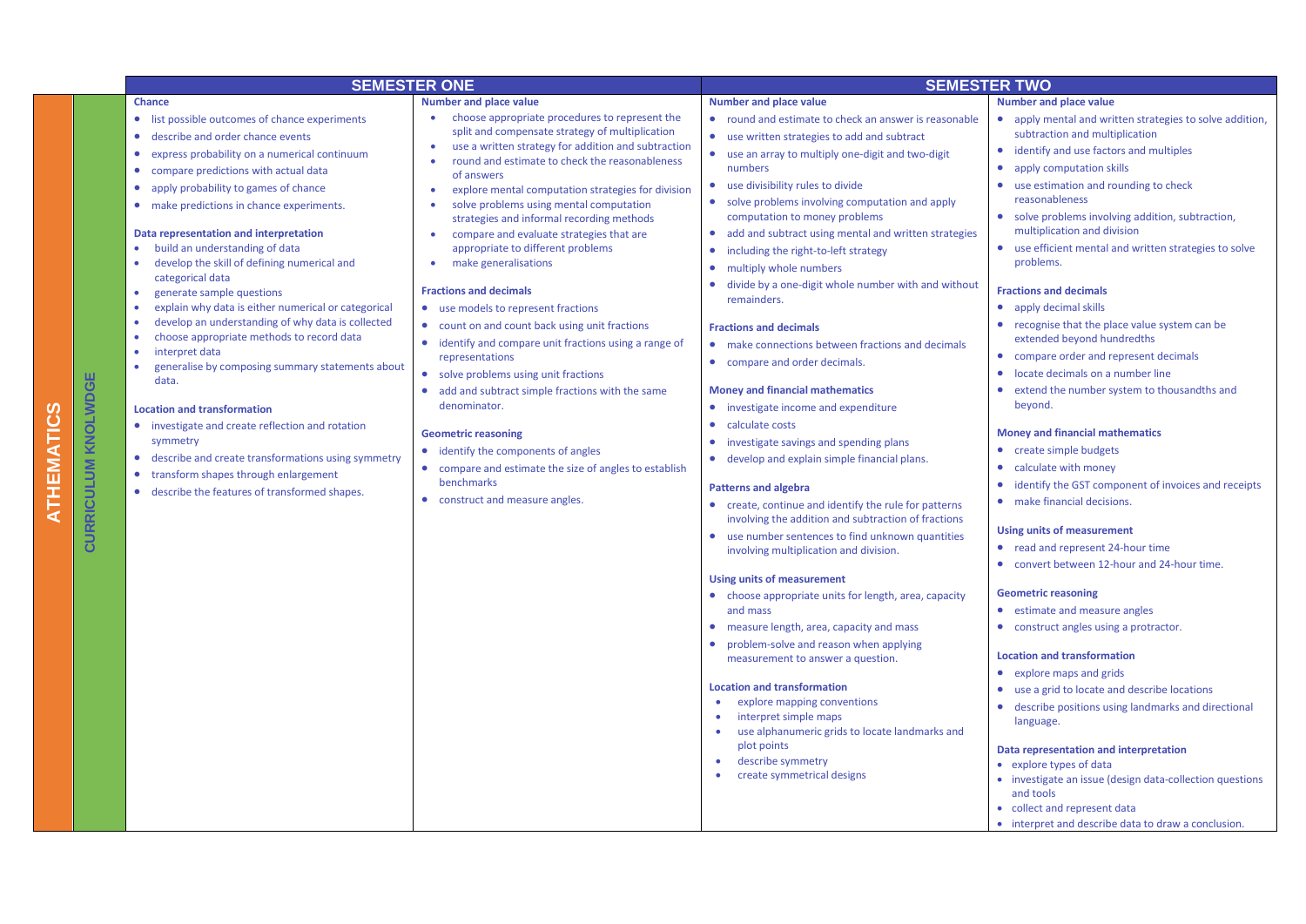|                            | <b>SEMESTER ONE</b>                                                                                                                                                                                                                                                                                                                                                                                                                                                                                                                                                                                                                                                                                                                                                                                                                                                                                                                                                                                                                                                                                                 |                                                                                                                                                                                                                                                                                                                                                                                                                                                                                                                                                                                                                                                                                                                                                                                                                                                                                                                                                                                                                                                                                       | <b>SEMESTER TWO</b>                                                                                                                                                                                                                                                                                                                                                                                                                                                                                                                                                                                                                                                                                                                                                                                                                                                                                                                                                                                                                                                                                                                                                                                                                                                                                                                                                                                                                                                                                                                                                                                                               |                                                                                                                                                                                                                                                                                                                                                                                                                                                                                                                                                                                                                                                                                                                                                                                                                                                                                                                                                                                                                                                                                                                                                                                                                                                                                                                                                                                   |  |
|----------------------------|---------------------------------------------------------------------------------------------------------------------------------------------------------------------------------------------------------------------------------------------------------------------------------------------------------------------------------------------------------------------------------------------------------------------------------------------------------------------------------------------------------------------------------------------------------------------------------------------------------------------------------------------------------------------------------------------------------------------------------------------------------------------------------------------------------------------------------------------------------------------------------------------------------------------------------------------------------------------------------------------------------------------------------------------------------------------------------------------------------------------|---------------------------------------------------------------------------------------------------------------------------------------------------------------------------------------------------------------------------------------------------------------------------------------------------------------------------------------------------------------------------------------------------------------------------------------------------------------------------------------------------------------------------------------------------------------------------------------------------------------------------------------------------------------------------------------------------------------------------------------------------------------------------------------------------------------------------------------------------------------------------------------------------------------------------------------------------------------------------------------------------------------------------------------------------------------------------------------|-----------------------------------------------------------------------------------------------------------------------------------------------------------------------------------------------------------------------------------------------------------------------------------------------------------------------------------------------------------------------------------------------------------------------------------------------------------------------------------------------------------------------------------------------------------------------------------------------------------------------------------------------------------------------------------------------------------------------------------------------------------------------------------------------------------------------------------------------------------------------------------------------------------------------------------------------------------------------------------------------------------------------------------------------------------------------------------------------------------------------------------------------------------------------------------------------------------------------------------------------------------------------------------------------------------------------------------------------------------------------------------------------------------------------------------------------------------------------------------------------------------------------------------------------------------------------------------------------------------------------------------|-----------------------------------------------------------------------------------------------------------------------------------------------------------------------------------------------------------------------------------------------------------------------------------------------------------------------------------------------------------------------------------------------------------------------------------------------------------------------------------------------------------------------------------------------------------------------------------------------------------------------------------------------------------------------------------------------------------------------------------------------------------------------------------------------------------------------------------------------------------------------------------------------------------------------------------------------------------------------------------------------------------------------------------------------------------------------------------------------------------------------------------------------------------------------------------------------------------------------------------------------------------------------------------------------------------------------------------------------------------------------------------|--|
| <b>CURRICULUM KNOLWDGE</b> | <b>Chance</b><br>list possible outcomes of chance experiments<br>describe and order chance events<br>$\bullet$<br>express probability on a numerical continuum<br>۰<br>$\bullet$<br>compare predictions with actual data<br>apply probability to games of chance<br>$\bullet$<br>make predictions in chance experiments.<br>$\bullet$<br>Data representation and interpretation<br>build an understanding of data<br>$\bullet$<br>develop the skill of defining numerical and<br>$\bullet$<br>categorical data<br>generate sample questions<br>$\bullet$<br>explain why data is either numerical or categorical<br>$\bullet$<br>develop an understanding of why data is collected<br>$\bullet$<br>choose appropriate methods to record data<br>$\bullet$<br>$\bullet$<br>interpret data<br>generalise by composing summary statements about<br>$\bullet$<br>data.<br><b>Location and transformation</b><br>investigate and create reflection and rotation<br>symmetry<br>describe and create transformations using symmetry<br>transform shapes through enlargement<br>describe the features of transformed shapes. | <b>Number and place value</b><br>choose appropriate procedures to represent the<br>split and compensate strategy of multiplication<br>use a written strategy for addition and subtraction<br>$\bullet$<br>round and estimate to check the reasonableness<br>of answers<br>explore mental computation strategies for division<br>$\bullet$<br>solve problems using mental computation<br>strategies and informal recording methods<br>compare and evaluate strategies that are<br>$\bullet$<br>appropriate to different problems<br>make generalisations<br><b>Fractions and decimals</b><br>use models to represent fractions<br>$\bullet$<br>count on and count back using unit fractions<br>$\bullet$<br>identify and compare unit fractions using a range of<br>representations<br>solve problems using unit fractions<br>add and subtract simple fractions with the same<br>denominator.<br><b>Geometric reasoning</b><br>• identify the components of angles<br>compare and estimate the size of angles to establish<br>$\bullet$<br>benchmarks<br>construct and measure angles. | <b>Number and place value</b><br>• round and estimate to check an answer is reasonable<br>• use written strategies to add and subtract<br>$\bullet$<br>use an array to multiply one-digit and two-digit<br>numbers<br>• use divisibility rules to divide<br>• solve problems involving computation and apply<br>computation to money problems<br>• add and subtract using mental and written strategies<br>$\bullet$<br>including the right-to-left strategy<br>multiply whole numbers<br>$\bullet$<br>divide by a one-digit whole number with and without<br>$\bullet$<br>remainders.<br><b>Fractions and decimals</b><br>• make connections between fractions and decimals<br>• compare and order decimals.<br><b>Money and financial mathematics</b><br>• investigate income and expenditure<br>• calculate costs<br>investigate savings and spending plans<br>$\bullet$<br>• develop and explain simple financial plans.<br><b>Patterns and algebra</b><br>• create, continue and identify the rule for patterns<br>involving the addition and subtraction of fractions<br>use number sentences to find unknown quantities<br>involving multiplication and division.<br><b>Using units of measurement</b><br>• choose appropriate units for length, area, capacity<br>and mass<br>• measure length, area, capacity and mass<br>$\bullet$<br>problem-solve and reason when applying<br>measurement to answer a question.<br><b>Location and transformation</b><br>explore mapping conventions<br>$\bullet$<br>interpret simple maps<br>$\bullet$<br>use alphanumeric grids to locate landmarks and<br>$\bullet$<br>plot points | <b>Number and place value</b><br>• apply mental and written strategies to solve addition,<br>subtraction and multiplication<br>• identify and use factors and multiples<br>apply computation skills<br>$\bullet$<br>use estimation and rounding to check<br>$\bullet$<br>reasonableness<br>• solve problems involving addition, subtraction,<br>multiplication and division<br>• use efficient mental and written strategies to solve<br>problems.<br><b>Fractions and decimals</b><br>apply decimal skills<br>• recognise that the place value system can be<br>extended beyond hundredths<br>compare order and represent decimals<br>locate decimals on a number line<br>$\bullet$<br>extend the number system to thousandths and<br>beyond.<br><b>Money and financial mathematics</b><br>create simple budgets<br>$\bullet$<br>• calculate with money<br>identify the GST component of invoices and receipts<br>$\bullet$<br>• make financial decisions.<br><b>Using units of measurement</b><br>• read and represent 24-hour time<br>convert between 12-hour and 24-hour time.<br><b>Geometric reasoning</b><br>• estimate and measure angles<br>• construct angles using a protractor.<br><b>Location and transformation</b><br>• explore maps and grids<br>use a grid to locate and describe locations<br>• describe positions using landmarks and directional<br>language. |  |
|                            |                                                                                                                                                                                                                                                                                                                                                                                                                                                                                                                                                                                                                                                                                                                                                                                                                                                                                                                                                                                                                                                                                                                     |                                                                                                                                                                                                                                                                                                                                                                                                                                                                                                                                                                                                                                                                                                                                                                                                                                                                                                                                                                                                                                                                                       | describe symmetry<br>create symmetrical designs<br>$\bullet$                                                                                                                                                                                                                                                                                                                                                                                                                                                                                                                                                                                                                                                                                                                                                                                                                                                                                                                                                                                                                                                                                                                                                                                                                                                                                                                                                                                                                                                                                                                                                                      | Data representation and interpretation<br>• explore types of data<br>• investigate an issue (design data-collection questions<br>and tools<br>• collect and represent data<br>• interpret and describe data to draw a conclusion.                                                                                                                                                                                                                                                                                                                                                                                                                                                                                                                                                                                                                                                                                                                                                                                                                                                                                                                                                                                                                                                                                                                                                 |  |

**ATHEMATICS**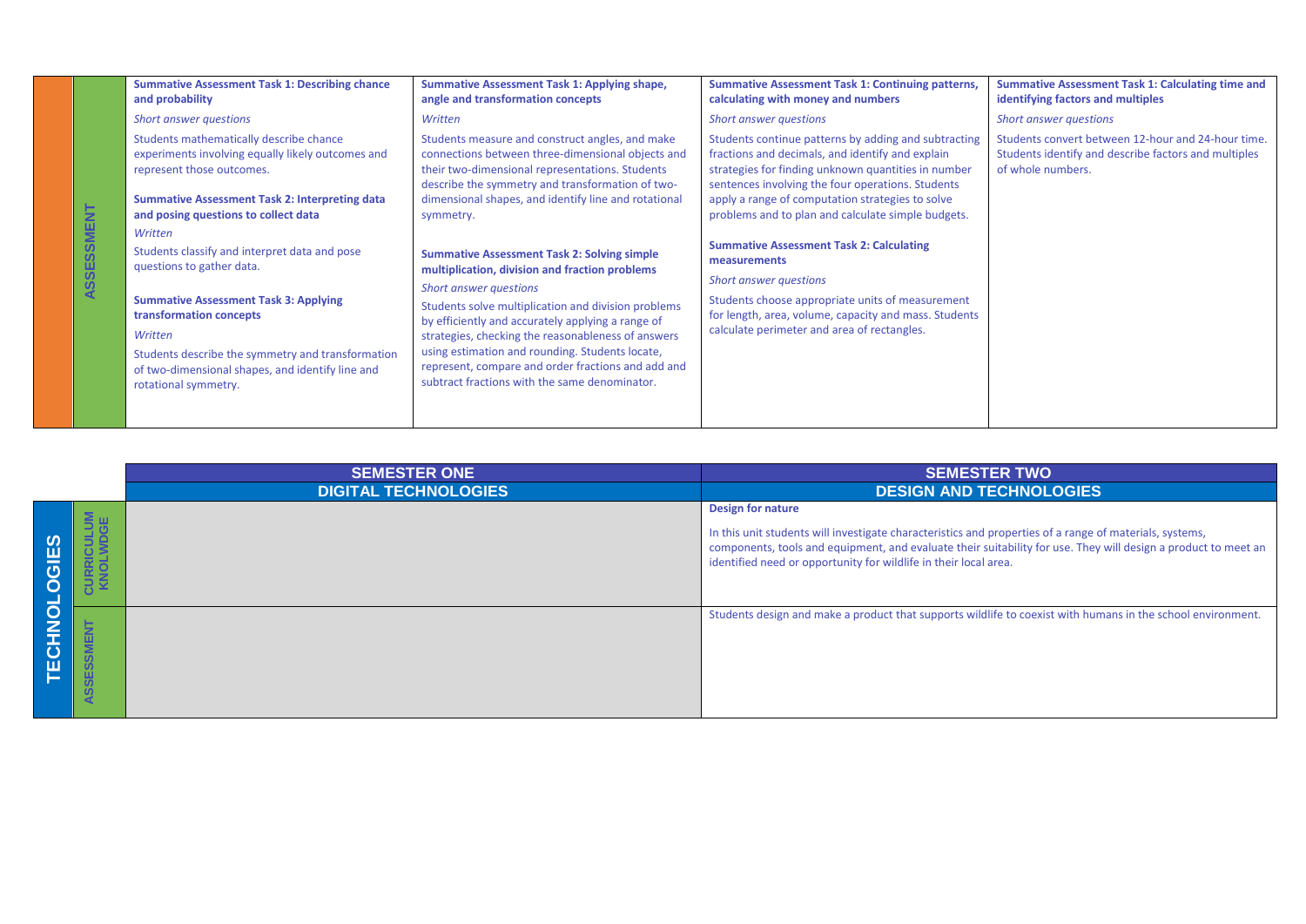|                        | <b>Summative Assessment Task 1: Describing chance</b><br>and probability                                                                                                                                                                                                                                                                                                                                                                                                                                                                   | <b>Summative Assessment Task 1: Applying shape,</b><br>angle and transformation concepts                                                                                                                                                                                                                                                                                                                                                                                                                                                                                                                                                                                                                                                              | <b>Summative Assessment Task 1: Continuing patterns,</b><br>calculating with money and numbers                                                                                                                                                                                                                                                                                                                                                                                                                                                                                          | <b>Summative Assessment Task 1: Calculating time and</b><br>identifying factors and multiples                                   |
|------------------------|--------------------------------------------------------------------------------------------------------------------------------------------------------------------------------------------------------------------------------------------------------------------------------------------------------------------------------------------------------------------------------------------------------------------------------------------------------------------------------------------------------------------------------------------|-------------------------------------------------------------------------------------------------------------------------------------------------------------------------------------------------------------------------------------------------------------------------------------------------------------------------------------------------------------------------------------------------------------------------------------------------------------------------------------------------------------------------------------------------------------------------------------------------------------------------------------------------------------------------------------------------------------------------------------------------------|-----------------------------------------------------------------------------------------------------------------------------------------------------------------------------------------------------------------------------------------------------------------------------------------------------------------------------------------------------------------------------------------------------------------------------------------------------------------------------------------------------------------------------------------------------------------------------------------|---------------------------------------------------------------------------------------------------------------------------------|
|                        | <b>Short answer questions</b>                                                                                                                                                                                                                                                                                                                                                                                                                                                                                                              | Written                                                                                                                                                                                                                                                                                                                                                                                                                                                                                                                                                                                                                                                                                                                                               | Short answer questions                                                                                                                                                                                                                                                                                                                                                                                                                                                                                                                                                                  | Short answer questions                                                                                                          |
| <b>SSMENT</b><br>ASSE: | Students mathematically describe chance<br>experiments involving equally likely outcomes and<br>represent those outcomes.<br><b>Summative Assessment Task 2: Interpreting data</b><br>and posing questions to collect data<br>Written<br>Students classify and interpret data and pose<br>questions to gather data.<br><b>Summative Assessment Task 3: Applying</b><br>transformation concepts<br>Written<br>Students describe the symmetry and transformation<br>of two-dimensional shapes, and identify line and<br>rotational symmetry. | Students measure and construct angles, and make<br>connections between three-dimensional objects and<br>their two-dimensional representations. Students<br>describe the symmetry and transformation of two-<br>dimensional shapes, and identify line and rotational<br>symmetry.<br><b>Summative Assessment Task 2: Solving simple</b><br>multiplication, division and fraction problems<br><b>Short answer questions</b><br>Students solve multiplication and division problems<br>by efficiently and accurately applying a range of<br>strategies, checking the reasonableness of answers<br>using estimation and rounding. Students locate,<br>represent, compare and order fractions and add and<br>subtract fractions with the same denominator. | Students continue patterns by adding and subtracting<br>fractions and decimals, and identify and explain<br>strategies for finding unknown quantities in number<br>sentences involving the four operations. Students<br>apply a range of computation strategies to solve<br>problems and to plan and calculate simple budgets.<br><b>Summative Assessment Task 2: Calculating</b><br>measurements<br>Short answer questions<br>Students choose appropriate units of measurement<br>for length, area, volume, capacity and mass. Students<br>calculate perimeter and area of rectangles. | Students convert between 12-hour and 24-hour time.<br>Students identify and describe factors and multiples<br>of whole numbers. |
|                        |                                                                                                                                                                                                                                                                                                                                                                                                                                                                                                                                            |                                                                                                                                                                                                                                                                                                                                                                                                                                                                                                                                                                                                                                                                                                                                                       |                                                                                                                                                                                                                                                                                                                                                                                                                                                                                                                                                                                         |                                                                                                                                 |

|                       |     | <b>SEMESTER ONE</b>         | <b>SEMESTER TWO</b>                                                                                                                                                                                                                                                                                                       |
|-----------------------|-----|-----------------------------|---------------------------------------------------------------------------------------------------------------------------------------------------------------------------------------------------------------------------------------------------------------------------------------------------------------------------|
|                       |     | <b>DIGITAL TECHNOLOGIES</b> | <b>DESIGN AND TECHNOLOGIES</b>                                                                                                                                                                                                                                                                                            |
| <u>ကို</u><br>$\circ$ | .Σա |                             | <b>Design for nature</b><br>In this unit students will investigate characteristics and properties of a range of materials, systems,<br>components, tools and equipment, and evaluate their suitability for use. They will design a product to meet an<br>identified need or opportunity for wildlife in their local area. |
| ECHNOL                |     |                             | Students design and make a product that supports wildlife to coexist with humans in the school environment.                                                                                                                                                                                                               |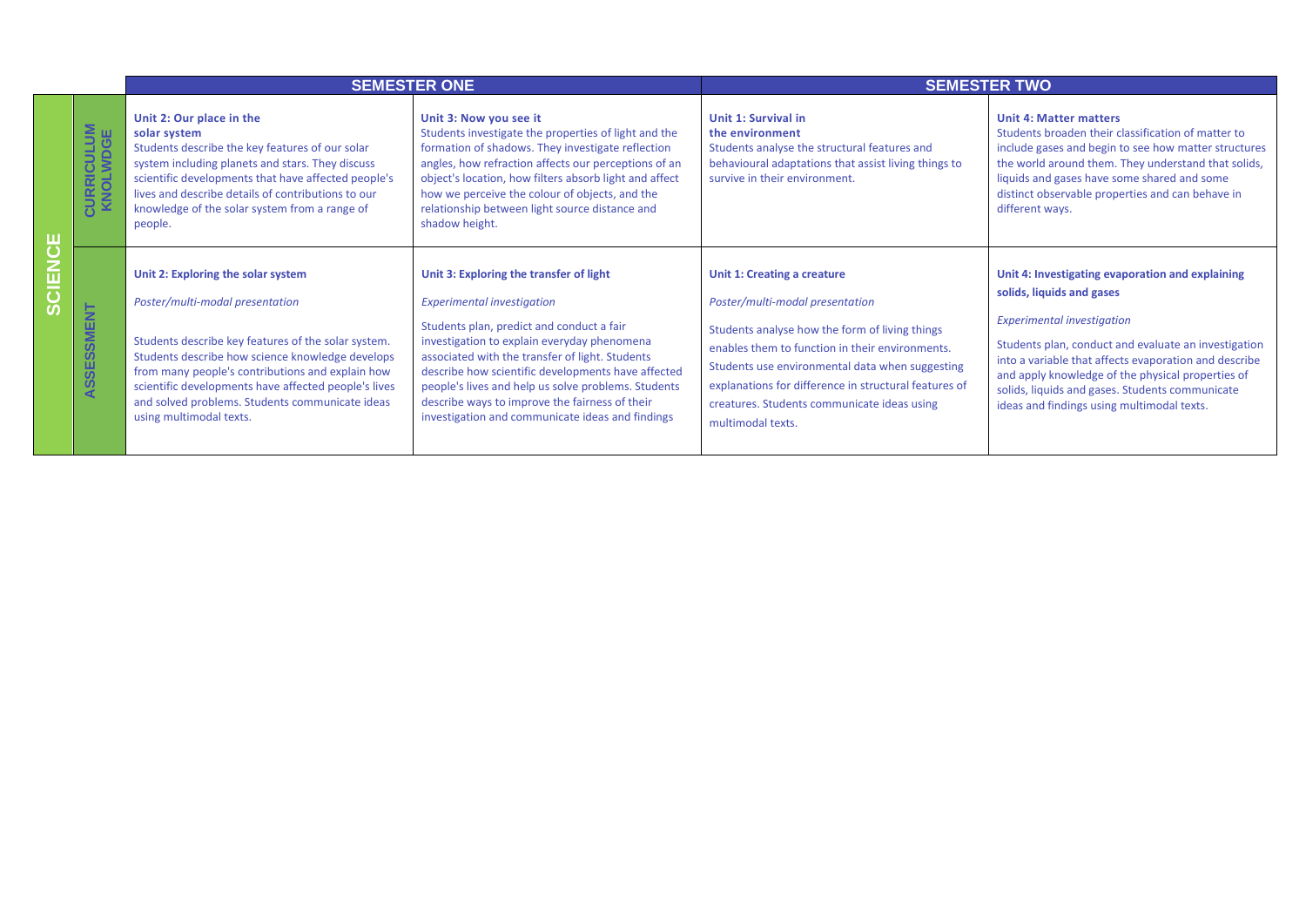|        |                               |                                                                                                                                                                                                                                                                                                                                                                            | <b>SEMESTER ONE</b>                                                                                                                                                                                                                                                                                                                                                                                                                            | <b>SEMESTER TWO</b>                                                                                                                                                                                                                                                                                                                                 |                                                                                                                                                                                                                                                                                                                                                                                           |  |
|--------|-------------------------------|----------------------------------------------------------------------------------------------------------------------------------------------------------------------------------------------------------------------------------------------------------------------------------------------------------------------------------------------------------------------------|------------------------------------------------------------------------------------------------------------------------------------------------------------------------------------------------------------------------------------------------------------------------------------------------------------------------------------------------------------------------------------------------------------------------------------------------|-----------------------------------------------------------------------------------------------------------------------------------------------------------------------------------------------------------------------------------------------------------------------------------------------------------------------------------------------------|-------------------------------------------------------------------------------------------------------------------------------------------------------------------------------------------------------------------------------------------------------------------------------------------------------------------------------------------------------------------------------------------|--|
| 山<br>ひ | <b>CURRICULUM</b><br>KNOLWDGE | Unit 2: Our place in the<br>solar system<br>Students describe the key features of our solar<br>system including planets and stars. They discuss<br>scientific developments that have affected people's<br>lives and describe details of contributions to our<br>knowledge of the solar system from a range of<br>people.                                                   | Unit 3: Now you see it<br>Students investigate the properties of light and the<br>formation of shadows. They investigate reflection<br>angles, how refraction affects our perceptions of an<br>object's location, how filters absorb light and affect<br>how we perceive the colour of objects, and the<br>relationship between light source distance and<br>shadow height.                                                                    | Unit 1: Survival in<br>the environment<br>Students analyse the structural features and<br>behavioural adaptations that assist living things to<br>survive in their environment.                                                                                                                                                                     | <b>Unit 4: Matter matters</b><br>Students broaden their classification of matter to<br>include gases and begin to see how matter structures<br>the world around them. They understand that solids,<br>liquids and gases have some shared and some<br>distinct observable properties and can behave in<br>different ways.                                                                  |  |
| ш<br>ທ | ASSESSMENT                    | Unit 2: Exploring the solar system<br>Poster/multi-modal presentation<br>Students describe key features of the solar system.<br>Students describe how science knowledge develops<br>from many people's contributions and explain how<br>scientific developments have affected people's lives<br>and solved problems. Students communicate ideas<br>using multimodal texts. | Unit 3: Exploring the transfer of light<br><b>Experimental investigation</b><br>Students plan, predict and conduct a fair<br>investigation to explain everyday phenomena<br>associated with the transfer of light. Students<br>describe how scientific developments have affected<br>people's lives and help us solve problems. Students<br>describe ways to improve the fairness of their<br>investigation and communicate ideas and findings | Unit 1: Creating a creature<br>Poster/multi-modal presentation<br>Students analyse how the form of living things<br>enables them to function in their environments.<br>Students use environmental data when suggesting<br>explanations for difference in structural features of<br>creatures. Students communicate ideas using<br>multimodal texts. | Unit 4: Investigating evaporation and explaining<br>solids, liquids and gases<br><b>Experimental investigation</b><br>Students plan, conduct and evaluate an investigation<br>into a variable that affects evaporation and describe<br>and apply knowledge of the physical properties of<br>solids, liquids and gases. Students communicate<br>ideas and findings using multimodal texts. |  |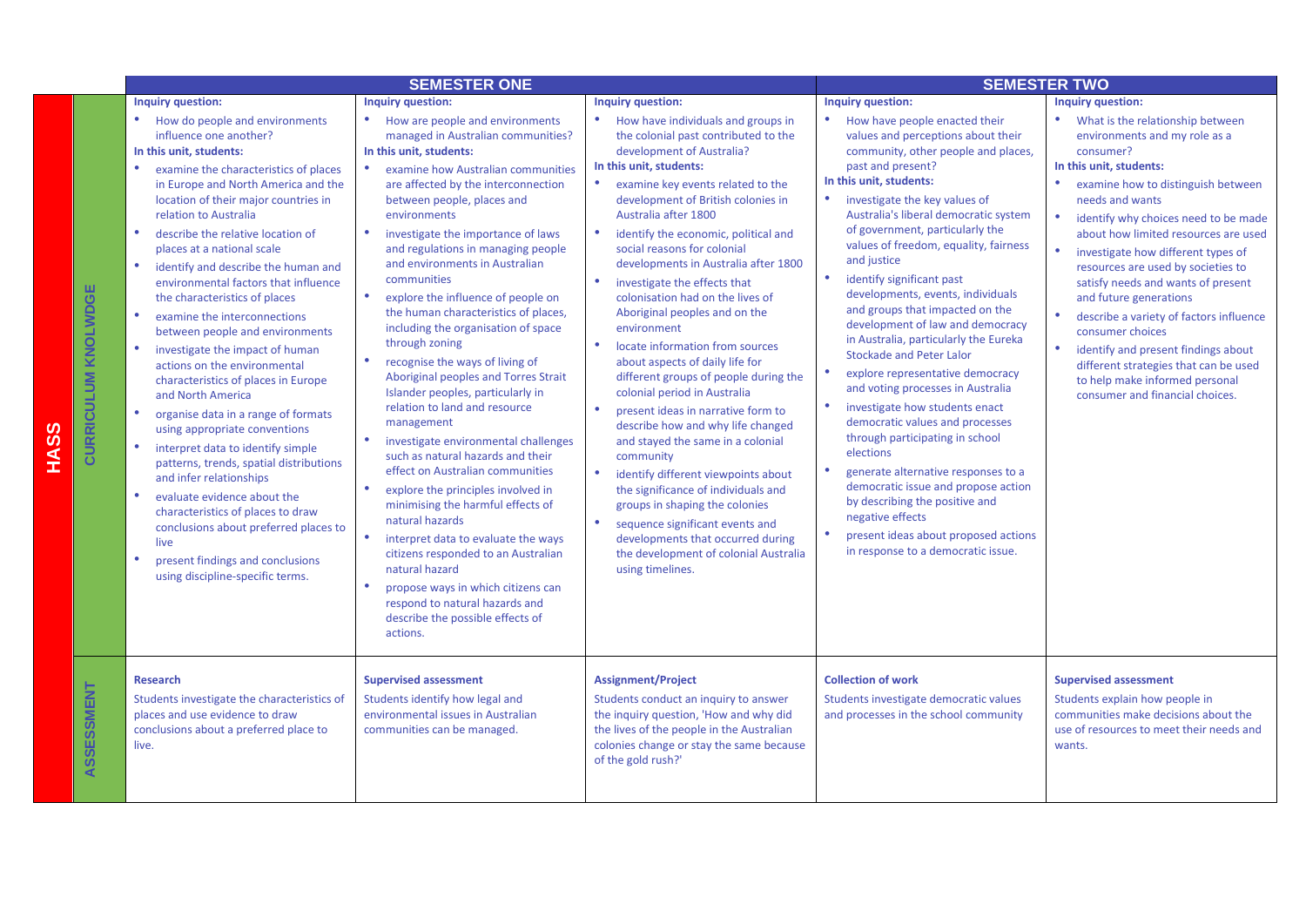|                            |                                                                                                                                                                                                                                                                                                                                                                                                                                                                                                                                                                                                                                                                                                                                                                                                                                                                                                                                                                                                                                                  | <b>SEMESTER ONE</b>                                                                                                                                                                                                                                                                                                                                                                                                                                                                                                                                                                                                                                                                                                                                                                                                                                                                                                                                                                                                                                                                                        |                                                                                                                                                                                                                                                                                                                                                                                                                                                                                                                                                                                                                                                                                                                                                                                                                                                                                                                                                                                                                                                                    | <b>SEMESTER TWO</b>                                                                                                                                                                                                                                                                                                                                                                                                                                                                                                                                                                                                                                                                                                                                                                                                                                                                                                                                                                                                                   |                                                                                                                                                                                                                                                                                                                                                                                                                                                                                                                                                                                                                                                                        |  |
|----------------------------|--------------------------------------------------------------------------------------------------------------------------------------------------------------------------------------------------------------------------------------------------------------------------------------------------------------------------------------------------------------------------------------------------------------------------------------------------------------------------------------------------------------------------------------------------------------------------------------------------------------------------------------------------------------------------------------------------------------------------------------------------------------------------------------------------------------------------------------------------------------------------------------------------------------------------------------------------------------------------------------------------------------------------------------------------|------------------------------------------------------------------------------------------------------------------------------------------------------------------------------------------------------------------------------------------------------------------------------------------------------------------------------------------------------------------------------------------------------------------------------------------------------------------------------------------------------------------------------------------------------------------------------------------------------------------------------------------------------------------------------------------------------------------------------------------------------------------------------------------------------------------------------------------------------------------------------------------------------------------------------------------------------------------------------------------------------------------------------------------------------------------------------------------------------------|--------------------------------------------------------------------------------------------------------------------------------------------------------------------------------------------------------------------------------------------------------------------------------------------------------------------------------------------------------------------------------------------------------------------------------------------------------------------------------------------------------------------------------------------------------------------------------------------------------------------------------------------------------------------------------------------------------------------------------------------------------------------------------------------------------------------------------------------------------------------------------------------------------------------------------------------------------------------------------------------------------------------------------------------------------------------|---------------------------------------------------------------------------------------------------------------------------------------------------------------------------------------------------------------------------------------------------------------------------------------------------------------------------------------------------------------------------------------------------------------------------------------------------------------------------------------------------------------------------------------------------------------------------------------------------------------------------------------------------------------------------------------------------------------------------------------------------------------------------------------------------------------------------------------------------------------------------------------------------------------------------------------------------------------------------------------------------------------------------------------|------------------------------------------------------------------------------------------------------------------------------------------------------------------------------------------------------------------------------------------------------------------------------------------------------------------------------------------------------------------------------------------------------------------------------------------------------------------------------------------------------------------------------------------------------------------------------------------------------------------------------------------------------------------------|--|
|                            | Inquiry question:                                                                                                                                                                                                                                                                                                                                                                                                                                                                                                                                                                                                                                                                                                                                                                                                                                                                                                                                                                                                                                | <b>Inquiry question:</b>                                                                                                                                                                                                                                                                                                                                                                                                                                                                                                                                                                                                                                                                                                                                                                                                                                                                                                                                                                                                                                                                                   | Inquiry question:                                                                                                                                                                                                                                                                                                                                                                                                                                                                                                                                                                                                                                                                                                                                                                                                                                                                                                                                                                                                                                                  | Inquiry question:                                                                                                                                                                                                                                                                                                                                                                                                                                                                                                                                                                                                                                                                                                                                                                                                                                                                                                                                                                                                                     | <b>Inquiry question:</b>                                                                                                                                                                                                                                                                                                                                                                                                                                                                                                                                                                                                                                               |  |
| <b>CURRICULUM KNOLWDGE</b> | How do people and environments<br>$\bullet$<br>influence one another?<br>In this unit, students:<br>examine the characteristics of places<br>in Europe and North America and the<br>location of their major countries in<br>relation to Australia<br>describe the relative location of<br>places at a national scale<br>identify and describe the human and<br>environmental factors that influence<br>the characteristics of places<br>$\bullet$<br>examine the interconnections<br>between people and environments<br>investigate the impact of human<br>actions on the environmental<br>characteristics of places in Europe<br>and North America<br>$\bullet$<br>organise data in a range of formats<br>using appropriate conventions<br>interpret data to identify simple<br>patterns, trends, spatial distributions<br>and infer relationships<br>evaluate evidence about the<br>characteristics of places to draw<br>conclusions about preferred places to<br>live<br>present findings and conclusions<br>using discipline-specific terms. | How are people and environments<br>managed in Australian communities?<br>In this unit, students:<br>examine how Australian communities<br>are affected by the interconnection<br>between people, places and<br>environments<br>٠<br>investigate the importance of laws<br>and regulations in managing people<br>and environments in Australian<br>communities<br>explore the influence of people on<br>the human characteristics of places,<br>including the organisation of space<br>through zoning<br>recognise the ways of living of<br>Aboriginal peoples and Torres Strait<br>Islander peoples, particularly in<br>relation to land and resource<br>management<br>investigate environmental challenges<br>such as natural hazards and their<br>effect on Australian communities<br>explore the principles involved in<br>minimising the harmful effects of<br>natural hazards<br>interpret data to evaluate the ways<br>citizens responded to an Australian<br>natural hazard<br>propose ways in which citizens can<br>respond to natural hazards and<br>describe the possible effects of<br>actions. | How have individuals and groups in<br>$\bullet$<br>the colonial past contributed to the<br>development of Australia?<br>In this unit, students:<br>$\bullet$<br>examine key events related to the<br>development of British colonies in<br>Australia after 1800<br>$\bullet$<br>identify the economic, political and<br>social reasons for colonial<br>developments in Australia after 1800<br>investigate the effects that<br>colonisation had on the lives of<br>Aboriginal peoples and on the<br>environment<br>locate information from sources<br>about aspects of daily life for<br>different groups of people during the<br>colonial period in Australia<br>present ideas in narrative form to<br>describe how and why life changed<br>and stayed the same in a colonial<br>community<br>identify different viewpoints about<br>۰<br>the significance of individuals and<br>groups in shaping the colonies<br>$\bullet$<br>sequence significant events and<br>developments that occurred during<br>the development of colonial Australia<br>using timelines. | How have people enacted their<br>values and perceptions about their<br>community, other people and places,<br>past and present?<br>In this unit, students:<br>investigate the key values of<br>Australia's liberal democratic system<br>of government, particularly the<br>values of freedom, equality, fairness<br>and justice<br>$\bullet$<br>identify significant past<br>developments, events, individuals<br>and groups that impacted on the<br>development of law and democracy<br>in Australia, particularly the Eureka<br><b>Stockade and Peter Lalor</b><br>$\bullet$<br>explore representative democracy<br>and voting processes in Australia<br>$\bullet$<br>investigate how students enact<br>democratic values and processes<br>through participating in school<br>elections<br>$\bullet$<br>generate alternative responses to a<br>democratic issue and propose action<br>by describing the positive and<br>negative effects<br>$\bullet$<br>present ideas about proposed actions<br>in response to a democratic issue. | What is the relationship between<br>environments and my role as a<br>consumer?<br>In this unit, students:<br>$\bullet$<br>examine how to distinguish between<br>needs and wants<br>$\bullet$<br>identify why choices need to be made<br>about how limited resources are used<br>$\bullet$<br>investigate how different types of<br>resources are used by societies to<br>satisfy needs and wants of present<br>and future generations<br>describe a variety of factors influence<br>consumer choices<br>$\bullet$<br>identify and present findings about<br>different strategies that can be used<br>to help make informed personal<br>consumer and financial choices. |  |
| ASSESSMENT                 | Research<br>Students investigate the characteristics of<br>places and use evidence to draw<br>conclusions about a preferred place to<br>live.                                                                                                                                                                                                                                                                                                                                                                                                                                                                                                                                                                                                                                                                                                                                                                                                                                                                                                    | <b>Supervised assessment</b><br>Students identify how legal and<br>environmental issues in Australian<br>communities can be managed.                                                                                                                                                                                                                                                                                                                                                                                                                                                                                                                                                                                                                                                                                                                                                                                                                                                                                                                                                                       | <b>Assignment/Project</b><br>Students conduct an inquiry to answer<br>the inquiry question, 'How and why did<br>the lives of the people in the Australian<br>colonies change or stay the same because<br>of the gold rush?'                                                                                                                                                                                                                                                                                                                                                                                                                                                                                                                                                                                                                                                                                                                                                                                                                                        | <b>Collection of work</b><br>Students investigate democratic values<br>and processes in the school community                                                                                                                                                                                                                                                                                                                                                                                                                                                                                                                                                                                                                                                                                                                                                                                                                                                                                                                          | <b>Supervised assessment</b><br>Students explain how people in<br>communities make decisions about the<br>use of resources to meet their needs and<br>wants.                                                                                                                                                                                                                                                                                                                                                                                                                                                                                                           |  |

**HASS**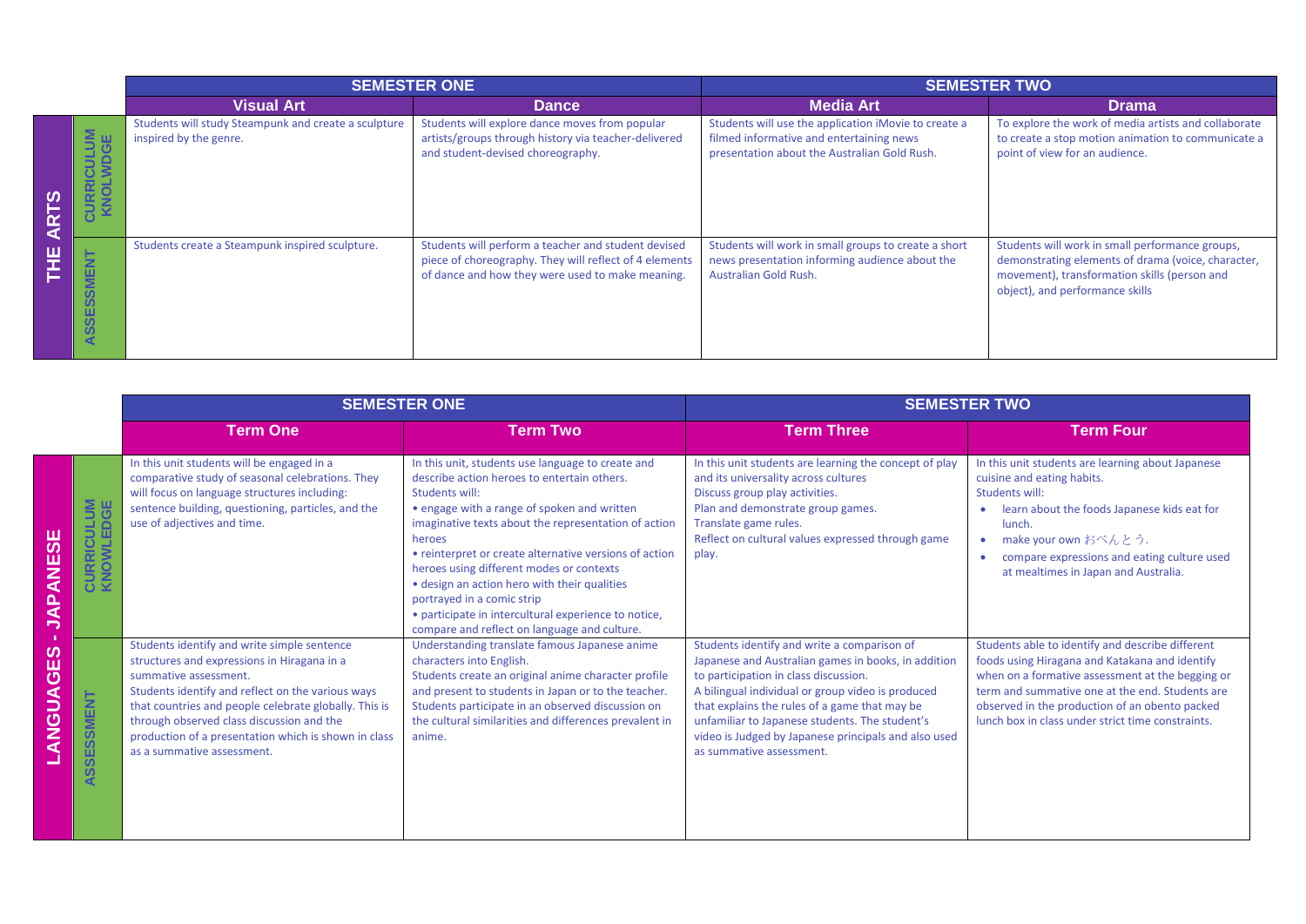|               |                                             | <b>SEMESTER ONE</b>                                                            |                                                                                                                                                                   | <b>SEMESTER TWO</b>                                                                                                                              |                                                                                                                                                                                          |  |
|---------------|---------------------------------------------|--------------------------------------------------------------------------------|-------------------------------------------------------------------------------------------------------------------------------------------------------------------|--------------------------------------------------------------------------------------------------------------------------------------------------|------------------------------------------------------------------------------------------------------------------------------------------------------------------------------------------|--|
|               |                                             | <b>Visual Art</b>                                                              | Dance                                                                                                                                                             | <b>Media Art</b>                                                                                                                                 | <b>Drama</b>                                                                                                                                                                             |  |
| ဖွာ<br>œ<br>⋖ | $\overline{\mathbf{5}}$                     | Students will study Steampunk and create a sculpture<br>inspired by the genre. | Students will explore dance moves from popular<br>artists/groups through history via teacher-delivered<br>and student-devised choreography.                       | Students will use the application iMovie to create a<br>filmed informative and entertaining news<br>presentation about the Australian Gold Rush. | To explore the work of media artists and collaborate<br>to create a stop motion animation to communicate a<br>point of view for an audience.                                             |  |
| щ<br>--       | 롦<br>Ē<br>ഗ<br>ഗ<br>ш<br>ശ<br><b>S</b><br>◀ | Students create a Steampunk inspired sculpture.                                | Students will perform a teacher and student devised<br>piece of choreography. They will reflect of 4 elements<br>of dance and how they were used to make meaning. | Students will work in small groups to create a short<br>news presentation informing audience about the<br>Australian Gold Rush.                  | Students will work in small performance groups,<br>demonstrating elements of drama (voice, character,<br>movement), transformation skills (person and<br>object), and performance skills |  |

|                                 |                                                                   |                                                                                                                                                                                                                                                                                                                                                                      | <b>SEMESTER ONE</b>                                                                                                                                                                                                                                                                                                                                                                                                                                                                                                             | <b>SEMESTER TWO</b>                                                                                                                                                                                                                                                                                                                                                                     |                                                                                                                                                                                                                                                                                                                  |  |
|---------------------------------|-------------------------------------------------------------------|----------------------------------------------------------------------------------------------------------------------------------------------------------------------------------------------------------------------------------------------------------------------------------------------------------------------------------------------------------------------|---------------------------------------------------------------------------------------------------------------------------------------------------------------------------------------------------------------------------------------------------------------------------------------------------------------------------------------------------------------------------------------------------------------------------------------------------------------------------------------------------------------------------------|-----------------------------------------------------------------------------------------------------------------------------------------------------------------------------------------------------------------------------------------------------------------------------------------------------------------------------------------------------------------------------------------|------------------------------------------------------------------------------------------------------------------------------------------------------------------------------------------------------------------------------------------------------------------------------------------------------------------|--|
|                                 |                                                                   | <b>Term One</b>                                                                                                                                                                                                                                                                                                                                                      | <b>Term Two</b>                                                                                                                                                                                                                                                                                                                                                                                                                                                                                                                 | <b>Term Three</b>                                                                                                                                                                                                                                                                                                                                                                       | <b>Term Four</b>                                                                                                                                                                                                                                                                                                 |  |
| 59<br><b>ANE</b><br><b>JAP</b>  | 58<br>弓岛<br>ပ<br>日至                                               | In this unit students will be engaged in a<br>comparative study of seasonal celebrations. They<br>will focus on language structures including:<br>sentence building, questioning, particles, and the<br>use of adjectives and time.                                                                                                                                  | In this unit, students use language to create and<br>describe action heroes to entertain others.<br>Students will:<br>• engage with a range of spoken and written<br>imaginative texts about the representation of action<br>heroes<br>• reinterpret or create alternative versions of action<br>heroes using different modes or contexts<br>• design an action hero with their qualities<br>portrayed in a comic strip<br>• participate in intercultural experience to notice,<br>compare and reflect on language and culture. | In this unit students are learning the concept of play<br>and its universality across cultures<br>Discuss group play activities.<br>Plan and demonstrate group games.<br>Translate game rules.<br>Reflect on cultural values expressed through game<br>play.                                                                                                                            | In this unit students are learning about Japanese<br>cuisine and eating habits.<br>Students will:<br>learn about the foods Japanese kids eat for<br>lunch.<br>make your own おべんとう.<br>$\bullet$<br>compare expressions and eating culture used<br>at mealtimes in Japan and Australia.                           |  |
| ဖာ<br><b>AGE</b><br><b>USNA</b> | <b>SMENT</b><br>$\boldsymbol{\omega}$<br>ш.<br>ഄ<br><b>S</b><br>◀ | Students identify and write simple sentence<br>structures and expressions in Hiragana in a<br>summative assessment.<br>Students identify and reflect on the various ways<br>that countries and people celebrate globally. This is<br>through observed class discussion and the<br>production of a presentation which is shown in class<br>as a summative assessment. | Understanding translate famous Japanese anime<br>characters into English.<br>Students create an original anime character profile<br>and present to students in Japan or to the teacher.<br>Students participate in an observed discussion on<br>the cultural similarities and differences prevalent in<br>anime.                                                                                                                                                                                                                | Students identify and write a comparison of<br>Japanese and Australian games in books, in addition<br>to participation in class discussion.<br>A bilingual individual or group video is produced<br>that explains the rules of a game that may be<br>unfamiliar to Japanese students. The student's<br>video is Judged by Japanese principals and also used<br>as summative assessment. | Students able to identify and describe different<br>foods using Hiragana and Katakana and identify<br>when on a formative assessment at the begging or<br>term and summative one at the end. Students are<br>observed in the production of an obento packed<br>lunch box in class under strict time constraints. |  |